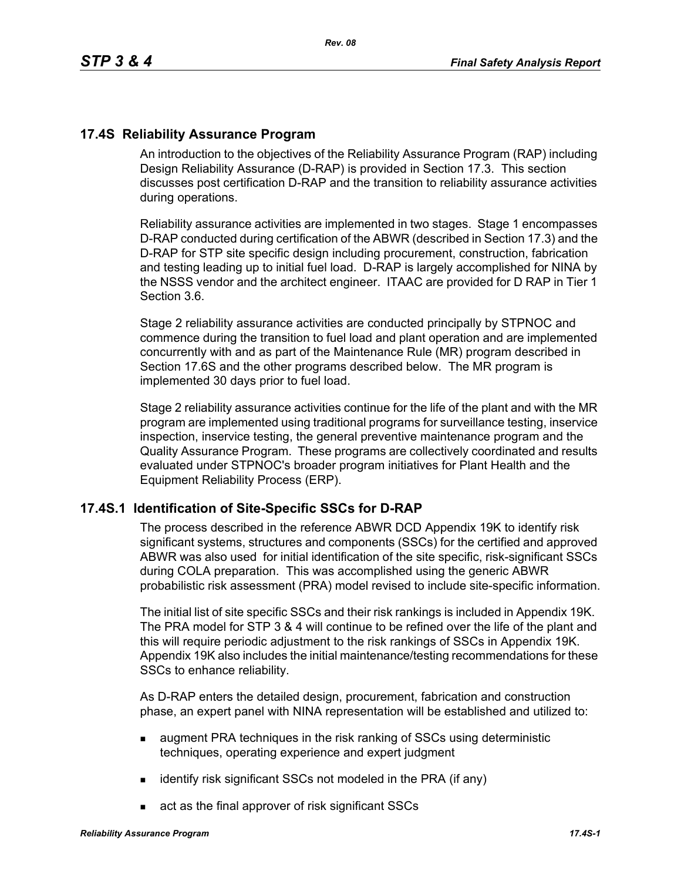## **17.4S Reliability Assurance Program**

An introduction to the objectives of the Reliability Assurance Program (RAP) including Design Reliability Assurance (D-RAP) is provided in Section 17.3. This section discusses post certification D-RAP and the transition to reliability assurance activities during operations.

Reliability assurance activities are implemented in two stages. Stage 1 encompasses D-RAP conducted during certification of the ABWR (described in Section 17.3) and the D-RAP for STP site specific design including procurement, construction, fabrication and testing leading up to initial fuel load. D-RAP is largely accomplished for NINA by the NSSS vendor and the architect engineer. ITAAC are provided for D RAP in Tier 1 Section 3.6.

Stage 2 reliability assurance activities are conducted principally by STPNOC and commence during the transition to fuel load and plant operation and are implemented concurrently with and as part of the Maintenance Rule (MR) program described in Section 17.6S and the other programs described below. The MR program is implemented 30 days prior to fuel load.

Stage 2 reliability assurance activities continue for the life of the plant and with the MR program are implemented using traditional programs for surveillance testing, inservice inspection, inservice testing, the general preventive maintenance program and the Quality Assurance Program. These programs are collectively coordinated and results evaluated under STPNOC's broader program initiatives for Plant Health and the Equipment Reliability Process (ERP).

#### **17.4S.1 Identification of Site-Specific SSCs for D-RAP**

The process described in the reference ABWR DCD Appendix 19K to identify risk significant systems, structures and components (SSCs) for the certified and approved ABWR was also used for initial identification of the site specific, risk-significant SSCs during COLA preparation. This was accomplished using the generic ABWR probabilistic risk assessment (PRA) model revised to include site-specific information.

The initial list of site specific SSCs and their risk rankings is included in Appendix 19K. The PRA model for STP 3 & 4 will continue to be refined over the life of the plant and this will require periodic adjustment to the risk rankings of SSCs in Appendix 19K. Appendix 19K also includes the initial maintenance/testing recommendations for these SSCs to enhance reliability.

As D-RAP enters the detailed design, procurement, fabrication and construction phase, an expert panel with NINA representation will be established and utilized to:

- **a** augment PRA techniques in the risk ranking of SSCs using deterministic techniques, operating experience and expert judgment
- identify risk significant SSCs not modeled in the PRA (if any)
- act as the final approver of risk significant SSCs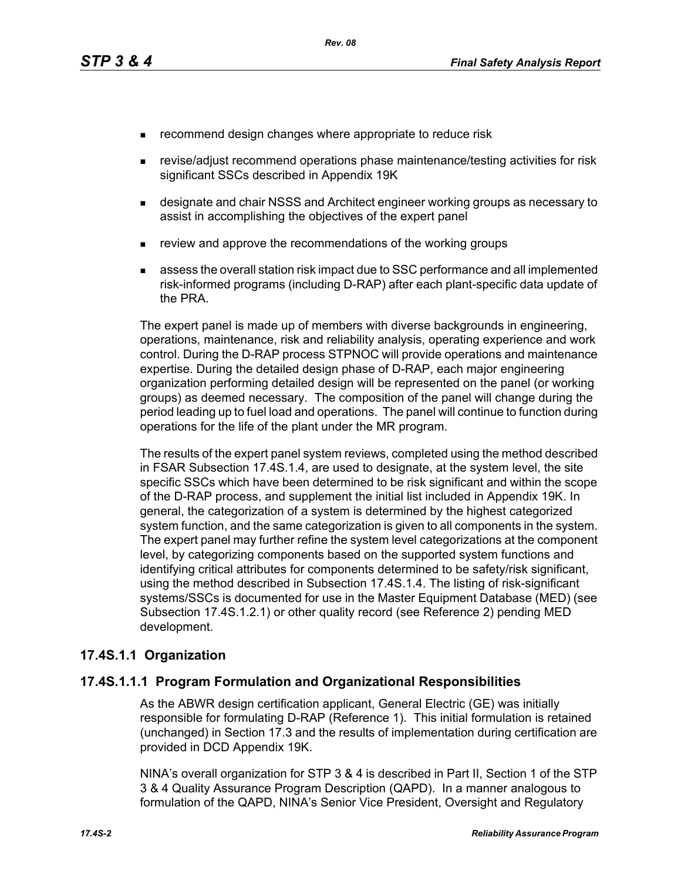- **EXECOMMENDERIGHT COMMON CONTROLLY EXECOMMENT CONTROLLY EXECUTE:** The reduce risk
- revise/adjust recommend operations phase maintenance/testing activities for risk significant SSCs described in Appendix 19K
- **EXEDERITHM** designate and chair NSSS and Architect engineer working groups as necessary to assist in accomplishing the objectives of the expert panel
- review and approve the recommendations of the working groups
- assess the overall station risk impact due to SSC performance and all implemented risk-informed programs (including D-RAP) after each plant-specific data update of the PRA.

The expert panel is made up of members with diverse backgrounds in engineering, operations, maintenance, risk and reliability analysis, operating experience and work control. During the D-RAP process STPNOC will provide operations and maintenance expertise. During the detailed design phase of D-RAP, each major engineering organization performing detailed design will be represented on the panel (or working groups) as deemed necessary. The composition of the panel will change during the period leading up to fuel load and operations. The panel will continue to function during operations for the life of the plant under the MR program.

The results of the expert panel system reviews, completed using the method described in FSAR Subsection 17.4S.1.4, are used to designate, at the system level, the site specific SSCs which have been determined to be risk significant and within the scope of the D-RAP process, and supplement the initial list included in Appendix 19K. In general, the categorization of a system is determined by the highest categorized system function, and the same categorization is given to all components in the system. The expert panel may further refine the system level categorizations at the component level, by categorizing components based on the supported system functions and identifying critical attributes for components determined to be safety/risk significant, using the method described in Subsection 17.4S.1.4. The listing of risk-significant systems/SSCs is documented for use in the Master Equipment Database (MED) (see Subsection 17.4S.1.2.1) or other quality record (see Reference 2) pending MED development.

## **17.4S.1.1 Organization**

#### **17.4S.1.1.1 Program Formulation and Organizational Responsibilities**

As the ABWR design certification applicant, General Electric (GE) was initially responsible for formulating D-RAP (Reference 1). This initial formulation is retained (unchanged) in Section 17.3 and the results of implementation during certification are provided in DCD Appendix 19K.

NINA's overall organization for STP 3 & 4 is described in Part II, Section 1 of the STP 3 & 4 Quality Assurance Program Description (QAPD). In a manner analogous to formulation of the QAPD, NINA's Senior Vice President, Oversight and Regulatory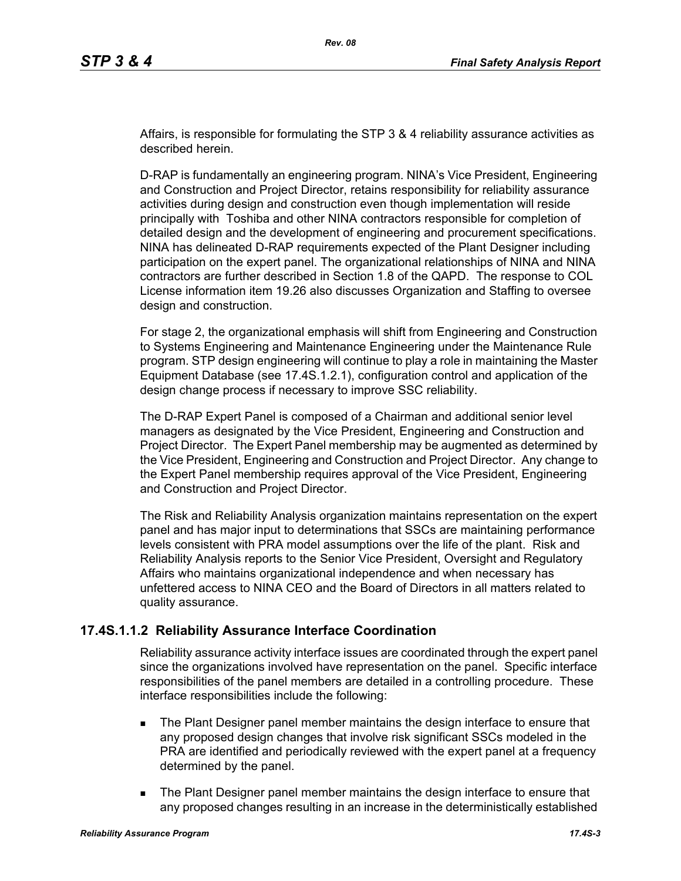Affairs, is responsible for formulating the STP 3 & 4 reliability assurance activities as described herein.

D-RAP is fundamentally an engineering program. NINA's Vice President, Engineering and Construction and Project Director, retains responsibility for reliability assurance activities during design and construction even though implementation will reside principally with Toshiba and other NINA contractors responsible for completion of detailed design and the development of engineering and procurement specifications. NINA has delineated D-RAP requirements expected of the Plant Designer including participation on the expert panel. The organizational relationships of NINA and NINA contractors are further described in Section 1.8 of the QAPD. The response to COL License information item 19.26 also discusses Organization and Staffing to oversee design and construction.

For stage 2, the organizational emphasis will shift from Engineering and Construction to Systems Engineering and Maintenance Engineering under the Maintenance Rule program. STP design engineering will continue to play a role in maintaining the Master Equipment Database (see 17.4S.1.2.1), configuration control and application of the design change process if necessary to improve SSC reliability.

The D-RAP Expert Panel is composed of a Chairman and additional senior level managers as designated by the Vice President, Engineering and Construction and Project Director. The Expert Panel membership may be augmented as determined by the Vice President, Engineering and Construction and Project Director. Any change to the Expert Panel membership requires approval of the Vice President, Engineering and Construction and Project Director.

The Risk and Reliability Analysis organization maintains representation on the expert panel and has major input to determinations that SSCs are maintaining performance levels consistent with PRA model assumptions over the life of the plant. Risk and Reliability Analysis reports to the Senior Vice President, Oversight and Regulatory Affairs who maintains organizational independence and when necessary has unfettered access to NINA CEO and the Board of Directors in all matters related to quality assurance.

## **17.4S.1.1.2 Reliability Assurance Interface Coordination**

Reliability assurance activity interface issues are coordinated through the expert panel since the organizations involved have representation on the panel. Specific interface responsibilities of the panel members are detailed in a controlling procedure. These interface responsibilities include the following:

- **The Plant Designer panel member maintains the design interface to ensure that** any proposed design changes that involve risk significant SSCs modeled in the PRA are identified and periodically reviewed with the expert panel at a frequency determined by the panel.
- **The Plant Designer panel member maintains the design interface to ensure that** any proposed changes resulting in an increase in the deterministically established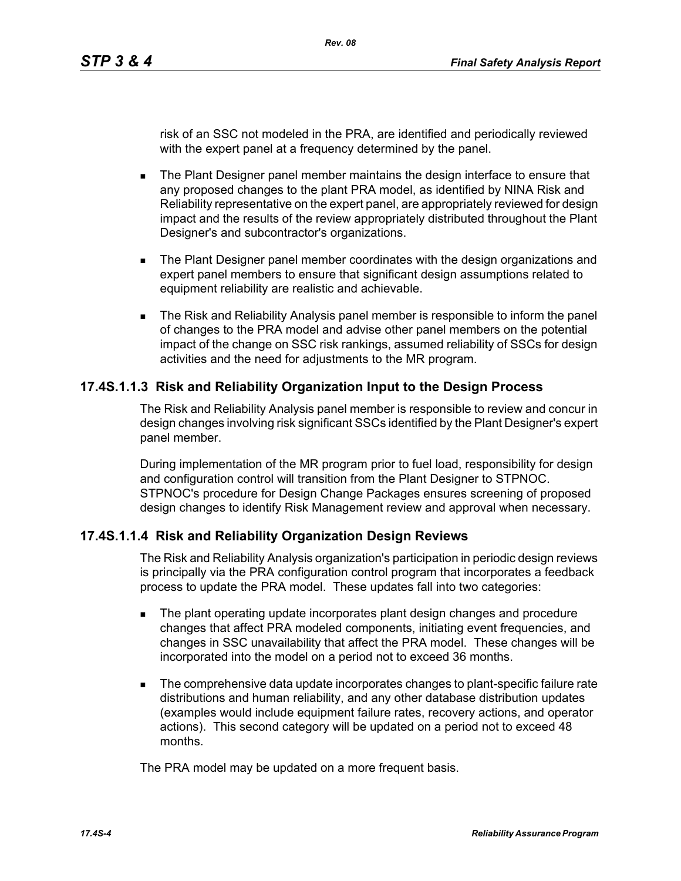risk of an SSC not modeled in the PRA, are identified and periodically reviewed with the expert panel at a frequency determined by the panel.

- **The Plant Designer panel member maintains the design interface to ensure that** any proposed changes to the plant PRA model, as identified by NINA Risk and Reliability representative on the expert panel, are appropriately reviewed for design impact and the results of the review appropriately distributed throughout the Plant Designer's and subcontractor's organizations.
- **The Plant Designer panel member coordinates with the design organizations and** expert panel members to ensure that significant design assumptions related to equipment reliability are realistic and achievable.
- The Risk and Reliability Analysis panel member is responsible to inform the panel of changes to the PRA model and advise other panel members on the potential impact of the change on SSC risk rankings, assumed reliability of SSCs for design activities and the need for adjustments to the MR program.

## **17.4S.1.1.3 Risk and Reliability Organization Input to the Design Process**

The Risk and Reliability Analysis panel member is responsible to review and concur in design changes involving risk significant SSCs identified by the Plant Designer's expert panel member.

During implementation of the MR program prior to fuel load, responsibility for design and configuration control will transition from the Plant Designer to STPNOC. STPNOC's procedure for Design Change Packages ensures screening of proposed design changes to identify Risk Management review and approval when necessary.

## **17.4S.1.1.4 Risk and Reliability Organization Design Reviews**

The Risk and Reliability Analysis organization's participation in periodic design reviews is principally via the PRA configuration control program that incorporates a feedback process to update the PRA model. These updates fall into two categories:

- **The plant operating update incorporates plant design changes and procedure** changes that affect PRA modeled components, initiating event frequencies, and changes in SSC unavailability that affect the PRA model. These changes will be incorporated into the model on a period not to exceed 36 months.
- The comprehensive data update incorporates changes to plant-specific failure rate distributions and human reliability, and any other database distribution updates (examples would include equipment failure rates, recovery actions, and operator actions). This second category will be updated on a period not to exceed 48 months.

The PRA model may be updated on a more frequent basis.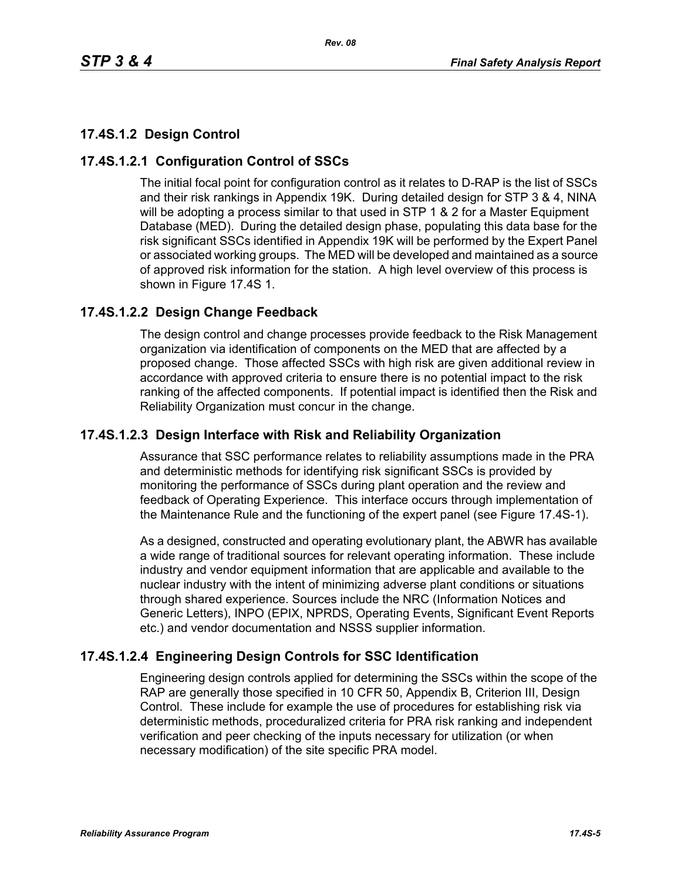## **17.4S.1.2 Design Control**

## **17.4S.1.2.1 Configuration Control of SSCs**

The initial focal point for configuration control as it relates to D-RAP is the list of SSCs and their risk rankings in Appendix 19K. During detailed design for STP 3 & 4, NINA will be adopting a process similar to that used in STP 1 & 2 for a Master Equipment Database (MED). During the detailed design phase, populating this data base for the risk significant SSCs identified in Appendix 19K will be performed by the Expert Panel or associated working groups. The MED will be developed and maintained as a source of approved risk information for the station. A high level overview of this process is shown in Figure 17.4S 1.

## **17.4S.1.2.2 Design Change Feedback**

The design control and change processes provide feedback to the Risk Management organization via identification of components on the MED that are affected by a proposed change. Those affected SSCs with high risk are given additional review in accordance with approved criteria to ensure there is no potential impact to the risk ranking of the affected components. If potential impact is identified then the Risk and Reliability Organization must concur in the change.

## **17.4S.1.2.3 Design Interface with Risk and Reliability Organization**

Assurance that SSC performance relates to reliability assumptions made in the PRA and deterministic methods for identifying risk significant SSCs is provided by monitoring the performance of SSCs during plant operation and the review and feedback of Operating Experience. This interface occurs through implementation of the Maintenance Rule and the functioning of the expert panel (see Figure 17.4S-1).

As a designed, constructed and operating evolutionary plant, the ABWR has available a wide range of traditional sources for relevant operating information. These include industry and vendor equipment information that are applicable and available to the nuclear industry with the intent of minimizing adverse plant conditions or situations through shared experience. Sources include the NRC (Information Notices and Generic Letters), INPO (EPIX, NPRDS, Operating Events, Significant Event Reports etc.) and vendor documentation and NSSS supplier information.

## **17.4S.1.2.4 Engineering Design Controls for SSC Identification**

Engineering design controls applied for determining the SSCs within the scope of the RAP are generally those specified in 10 CFR 50, Appendix B, Criterion III, Design Control. These include for example the use of procedures for establishing risk via deterministic methods, proceduralized criteria for PRA risk ranking and independent verification and peer checking of the inputs necessary for utilization (or when necessary modification) of the site specific PRA model.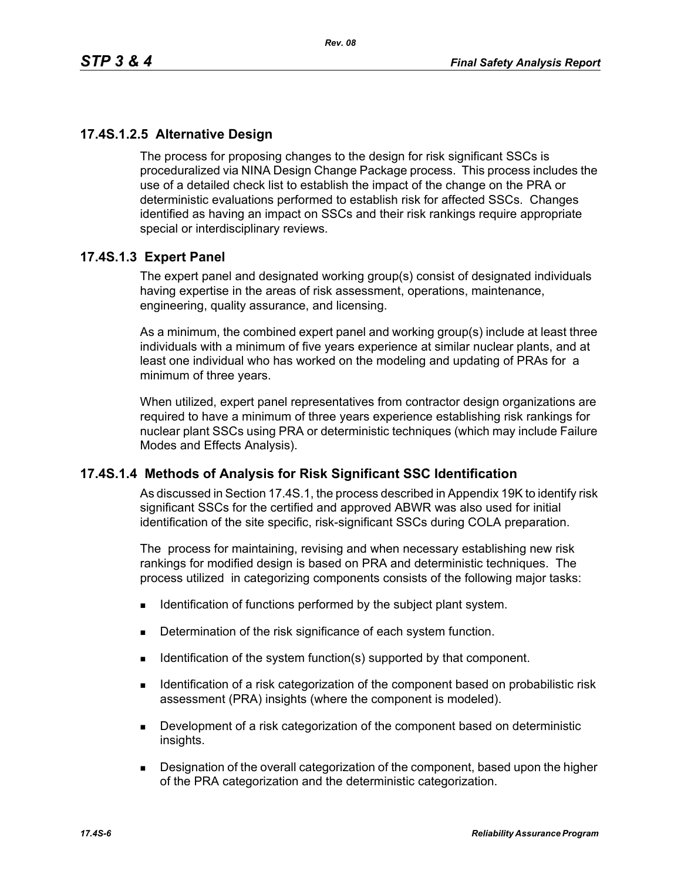## **17.4S.1.2.5 Alternative Design**

The process for proposing changes to the design for risk significant SSCs is proceduralized via NINA Design Change Package process. This process includes the use of a detailed check list to establish the impact of the change on the PRA or deterministic evaluations performed to establish risk for affected SSCs. Changes identified as having an impact on SSCs and their risk rankings require appropriate special or interdisciplinary reviews.

## **17.4S.1.3 Expert Panel**

The expert panel and designated working group(s) consist of designated individuals having expertise in the areas of risk assessment, operations, maintenance, engineering, quality assurance, and licensing.

As a minimum, the combined expert panel and working group(s) include at least three individuals with a minimum of five years experience at similar nuclear plants, and at least one individual who has worked on the modeling and updating of PRAs for a minimum of three years.

When utilized, expert panel representatives from contractor design organizations are required to have a minimum of three years experience establishing risk rankings for nuclear plant SSCs using PRA or deterministic techniques (which may include Failure Modes and Effects Analysis).

#### **17.4S.1.4 Methods of Analysis for Risk Significant SSC Identification**

As discussed in Section 17.4S.1, the process described in Appendix 19K to identify risk significant SSCs for the certified and approved ABWR was also used for initial identification of the site specific, risk-significant SSCs during COLA preparation.

The process for maintaining, revising and when necessary establishing new risk rankings for modified design is based on PRA and deterministic techniques. The process utilized in categorizing components consists of the following major tasks:

- **IDENTIFICATE:** Identification of functions performed by the subject plant system.
- Determination of the risk significance of each system function.
- Identification of the system function(s) supported by that component.
- **IDENTIFY IDENTIFY IDENTIFY IS A THE LIGHT OF STATE IS A THE COMPORED IS A THE ISLE IS A THE ISL I** dentification of a risk assessment (PRA) insights (where the component is modeled).
- **Development of a risk categorization of the component based on deterministic** insights.
- Designation of the overall categorization of the component, based upon the higher of the PRA categorization and the deterministic categorization.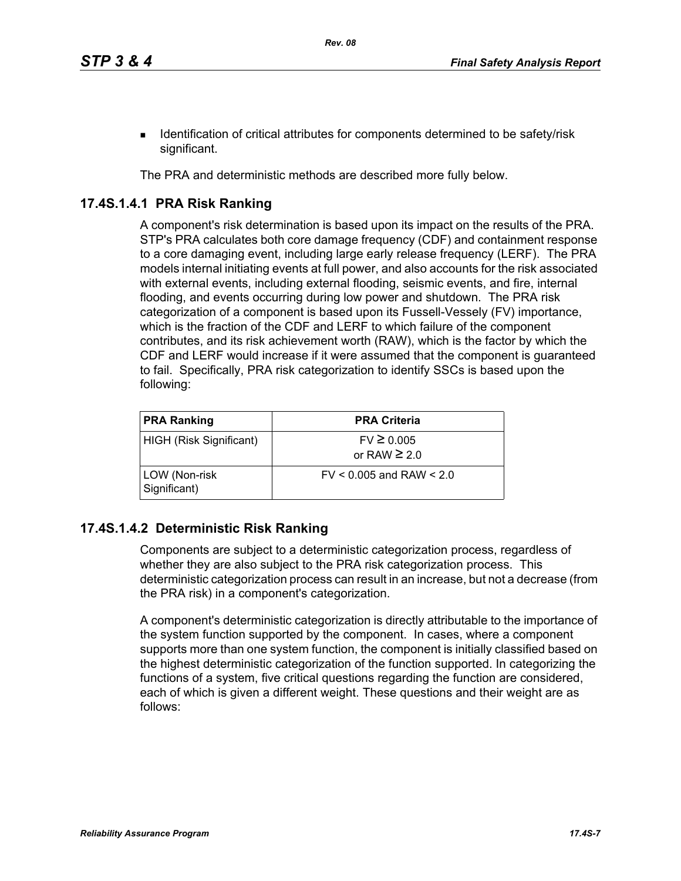**IDENTIFY IDENTIFY IDENTIFY IS A LOCATE IDENTIFY IS A LOCATE IDENTIFY IDENTIFY** IDENTIFY IS **I** dentification of critical attributes for components determined to be safety/risk significant.

The PRA and deterministic methods are described more fully below.

## **17.4S.1.4.1 PRA Risk Ranking**

A component's risk determination is based upon its impact on the results of the PRA. STP's PRA calculates both core damage frequency (CDF) and containment response to a core damaging event, including large early release frequency (LERF). The PRA models internal initiating events at full power, and also accounts for the risk associated with external events, including external flooding, seismic events, and fire, internal flooding, and events occurring during low power and shutdown. The PRA risk categorization of a component is based upon its Fussell-Vessely (FV) importance, which is the fraction of the CDF and LERF to which failure of the component contributes, and its risk achievement worth (RAW), which is the factor by which the CDF and LERF would increase if it were assumed that the component is guaranteed to fail. Specifically, PRA risk categorization to identify SSCs is based upon the following:

| <b>PRA Ranking</b>            | <b>PRA Criteria</b>                 |
|-------------------------------|-------------------------------------|
| HIGH (Risk Significant)       | $FV \ge 0.005$<br>or RAW $\geq 2.0$ |
| LOW (Non-risk<br>Significant) | $FV < 0.005$ and RAW $< 2.0$        |

## **17.4S.1.4.2 Deterministic Risk Ranking**

Components are subject to a deterministic categorization process, regardless of whether they are also subject to the PRA risk categorization process. This deterministic categorization process can result in an increase, but not a decrease (from the PRA risk) in a component's categorization.

A component's deterministic categorization is directly attributable to the importance of the system function supported by the component. In cases, where a component supports more than one system function, the component is initially classified based on the highest deterministic categorization of the function supported. In categorizing the functions of a system, five critical questions regarding the function are considered, each of which is given a different weight. These questions and their weight are as follows: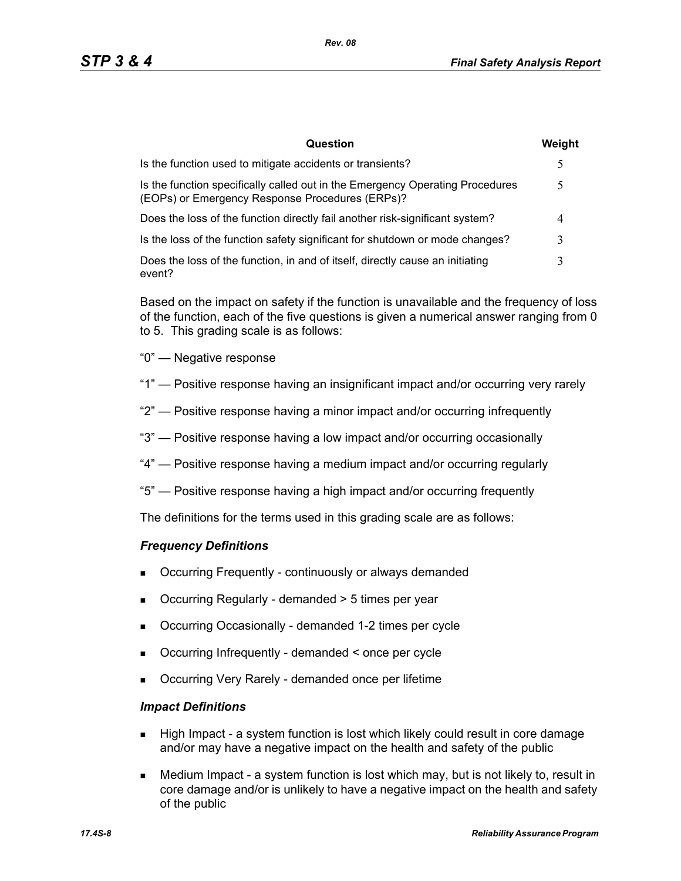| Question                                                                                                                         | Weight |
|----------------------------------------------------------------------------------------------------------------------------------|--------|
| Is the function used to mitigate accidents or transients?                                                                        | 5      |
| Is the function specifically called out in the Emergency Operating Procedures<br>(EOPs) or Emergency Response Procedures (ERPs)? |        |
| Does the loss of the function directly fail another risk-significant system?                                                     |        |
| Is the loss of the function safety significant for shutdown or mode changes?                                                     |        |
| Does the loss of the function, in and of itself, directly cause an initiating<br>event?                                          | 3      |

Based on the impact on safety if the function is unavailable and the frequency of loss of the function, each of the five questions is given a numerical answer ranging from 0 to 5. This grading scale is as follows:

- "0" Negative response
- "1" Positive response having an insignificant impact and/or occurring very rarely
- "2" Positive response having a minor impact and/or occurring infrequently
- "3" Positive response having a low impact and/or occurring occasionally
- "4" Positive response having a medium impact and/or occurring regularly
- "5" Positive response having a high impact and/or occurring frequently

The definitions for the terms used in this grading scale are as follows:

#### *Frequency Definitions*

- Occurring Frequently continuously or always demanded
- Occurring Regularly demanded > 5 times per year
- Occurring Occasionally demanded 1-2 times per cycle
- Occurring Infrequently demanded < once per cycle
- Occurring Very Rarely demanded once per lifetime

#### *Impact Definitions*

- High Impact a system function is lost which likely could result in core damage and/or may have a negative impact on the health and safety of the public
- Medium Impact a system function is lost which may, but is not likely to, result in core damage and/or is unlikely to have a negative impact on the health and safety of the public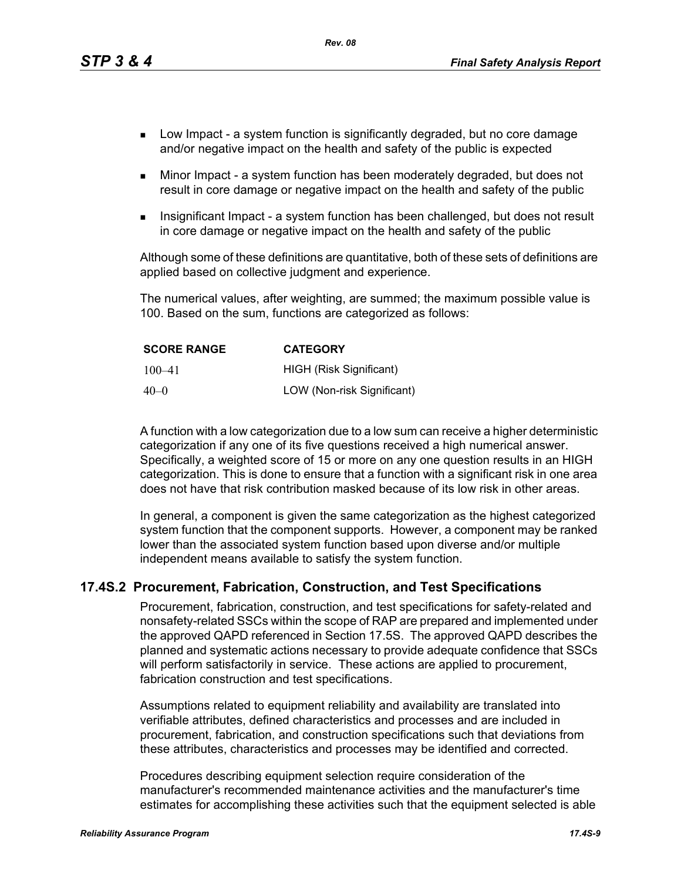*Rev. 08*

- **Low Impact a system function is significantly degraded, but no core damage** and/or negative impact on the health and safety of the public is expected
- Minor Impact a system function has been moderately degraded, but does not result in core damage or negative impact on the health and safety of the public
- Insignificant Impact a system function has been challenged, but does not result in core damage or negative impact on the health and safety of the public

Although some of these definitions are quantitative, both of these sets of definitions are applied based on collective judgment and experience.

The numerical values, after weighting, are summed; the maximum possible value is 100. Based on the sum, functions are categorized as follows:

| <b>SCORE RANGE</b> | <b>CATEGORY</b>            |
|--------------------|----------------------------|
| $100 - 41$         | HIGH (Risk Significant)    |
| $40 - 0$           | LOW (Non-risk Significant) |

A function with a low categorization due to a low sum can receive a higher deterministic categorization if any one of its five questions received a high numerical answer. Specifically, a weighted score of 15 or more on any one question results in an HIGH categorization. This is done to ensure that a function with a significant risk in one area does not have that risk contribution masked because of its low risk in other areas.

In general, a component is given the same categorization as the highest categorized system function that the component supports. However, a component may be ranked lower than the associated system function based upon diverse and/or multiple independent means available to satisfy the system function.

#### **17.4S.2 Procurement, Fabrication, Construction, and Test Specifications**

Procurement, fabrication, construction, and test specifications for safety-related and nonsafety-related SSCs within the scope of RAP are prepared and implemented under the approved QAPD referenced in Section 17.5S. The approved QAPD describes the planned and systematic actions necessary to provide adequate confidence that SSCs will perform satisfactorily in service. These actions are applied to procurement, fabrication construction and test specifications.

Assumptions related to equipment reliability and availability are translated into verifiable attributes, defined characteristics and processes and are included in procurement, fabrication, and construction specifications such that deviations from these attributes, characteristics and processes may be identified and corrected.

Procedures describing equipment selection require consideration of the manufacturer's recommended maintenance activities and the manufacturer's time estimates for accomplishing these activities such that the equipment selected is able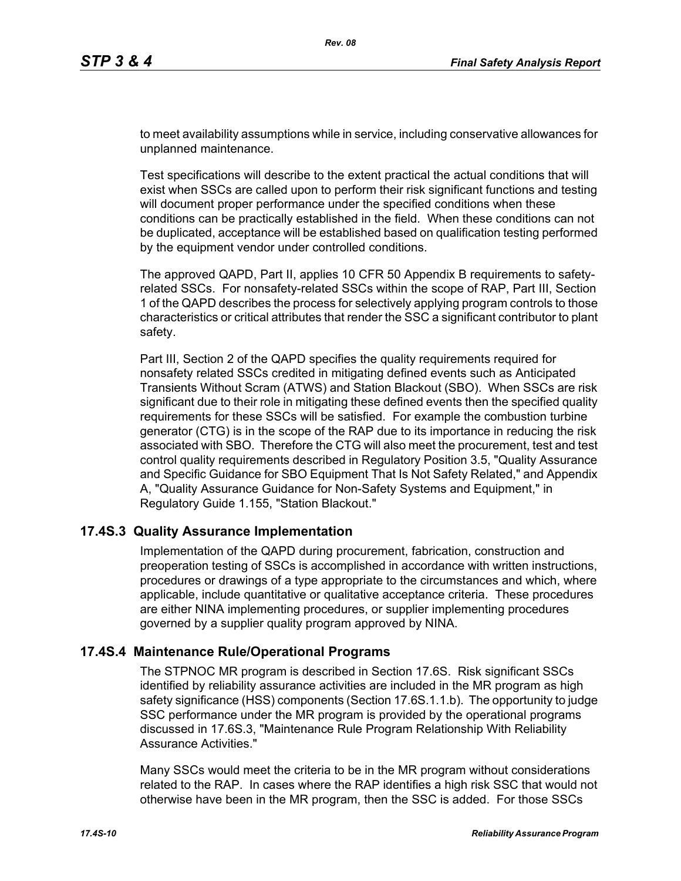to meet availability assumptions while in service, including conservative allowances for unplanned maintenance.

Test specifications will describe to the extent practical the actual conditions that will exist when SSCs are called upon to perform their risk significant functions and testing will document proper performance under the specified conditions when these conditions can be practically established in the field. When these conditions can not be duplicated, acceptance will be established based on qualification testing performed by the equipment vendor under controlled conditions.

The approved QAPD, Part II, applies 10 CFR 50 Appendix B requirements to safetyrelated SSCs. For nonsafety-related SSCs within the scope of RAP, Part III, Section 1 of the QAPD describes the process for selectively applying program controls to those characteristics or critical attributes that render the SSC a significant contributor to plant safety.

Part III, Section 2 of the QAPD specifies the quality requirements required for nonsafety related SSCs credited in mitigating defined events such as Anticipated Transients Without Scram (ATWS) and Station Blackout (SBO). When SSCs are risk significant due to their role in mitigating these defined events then the specified quality requirements for these SSCs will be satisfied. For example the combustion turbine generator (CTG) is in the scope of the RAP due to its importance in reducing the risk associated with SBO. Therefore the CTG will also meet the procurement, test and test control quality requirements described in Regulatory Position 3.5, "Quality Assurance and Specific Guidance for SBO Equipment That Is Not Safety Related," and Appendix A, "Quality Assurance Guidance for Non-Safety Systems and Equipment," in Regulatory Guide 1.155, "Station Blackout."

#### **17.4S.3 Quality Assurance Implementation**

Implementation of the QAPD during procurement, fabrication, construction and preoperation testing of SSCs is accomplished in accordance with written instructions, procedures or drawings of a type appropriate to the circumstances and which, where applicable, include quantitative or qualitative acceptance criteria. These procedures are either NINA implementing procedures, or supplier implementing procedures governed by a supplier quality program approved by NINA.

#### **17.4S.4 Maintenance Rule/Operational Programs**

The STPNOC MR program is described in Section 17.6S. Risk significant SSCs identified by reliability assurance activities are included in the MR program as high safety significance (HSS) components (Section 17.6S.1.1.b). The opportunity to judge SSC performance under the MR program is provided by the operational programs discussed in 17.6S.3, "Maintenance Rule Program Relationship With Reliability Assurance Activities."

Many SSCs would meet the criteria to be in the MR program without considerations related to the RAP. In cases where the RAP identifies a high risk SSC that would not otherwise have been in the MR program, then the SSC is added. For those SSCs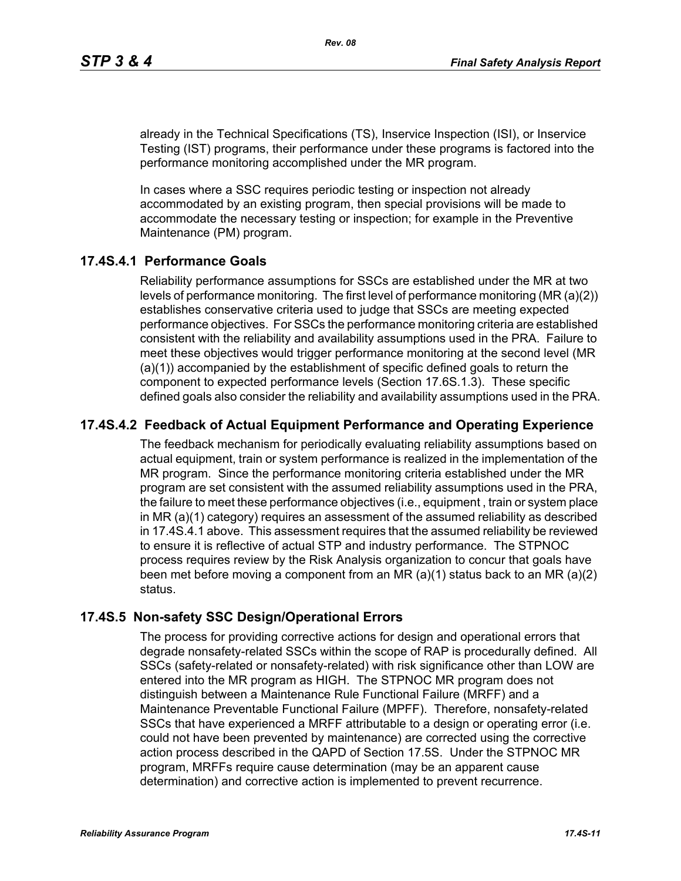already in the Technical Specifications (TS), Inservice Inspection (ISI), or Inservice Testing (IST) programs, their performance under these programs is factored into the performance monitoring accomplished under the MR program.

In cases where a SSC requires periodic testing or inspection not already accommodated by an existing program, then special provisions will be made to accommodate the necessary testing or inspection; for example in the Preventive Maintenance (PM) program.

### **17.4S.4.1 Performance Goals**

Reliability performance assumptions for SSCs are established under the MR at two levels of performance monitoring. The first level of performance monitoring (MR (a)(2)) establishes conservative criteria used to judge that SSCs are meeting expected performance objectives. For SSCs the performance monitoring criteria are established consistent with the reliability and availability assumptions used in the PRA. Failure to meet these objectives would trigger performance monitoring at the second level (MR (a)(1)) accompanied by the establishment of specific defined goals to return the component to expected performance levels (Section 17.6S.1.3). These specific defined goals also consider the reliability and availability assumptions used in the PRA.

## **17.4S.4.2 Feedback of Actual Equipment Performance and Operating Experience**

The feedback mechanism for periodically evaluating reliability assumptions based on actual equipment, train or system performance is realized in the implementation of the MR program. Since the performance monitoring criteria established under the MR program are set consistent with the assumed reliability assumptions used in the PRA, the failure to meet these performance objectives (i.e., equipment , train or system place in MR (a)(1) category) requires an assessment of the assumed reliability as described in 17.4S.4.1 above. This assessment requires that the assumed reliability be reviewed to ensure it is reflective of actual STP and industry performance. The STPNOC process requires review by the Risk Analysis organization to concur that goals have been met before moving a component from an MR (a)(1) status back to an MR (a)(2) status.

#### **17.4S.5 Non-safety SSC Design/Operational Errors**

The process for providing corrective actions for design and operational errors that degrade nonsafety-related SSCs within the scope of RAP is procedurally defined. All SSCs (safety-related or nonsafety-related) with risk significance other than LOW are entered into the MR program as HIGH. The STPNOC MR program does not distinguish between a Maintenance Rule Functional Failure (MRFF) and a Maintenance Preventable Functional Failure (MPFF). Therefore, nonsafety-related SSCs that have experienced a MRFF attributable to a design or operating error (i.e. could not have been prevented by maintenance) are corrected using the corrective action process described in the QAPD of Section 17.5S. Under the STPNOC MR program, MRFFs require cause determination (may be an apparent cause determination) and corrective action is implemented to prevent recurrence.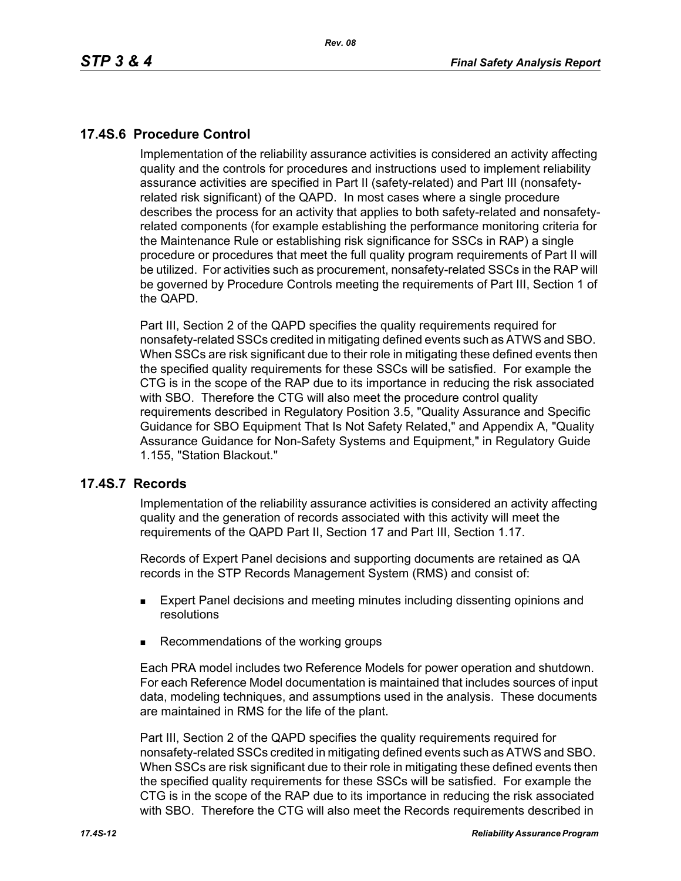## **17.4S.6 Procedure Control**

Implementation of the reliability assurance activities is considered an activity affecting quality and the controls for procedures and instructions used to implement reliability assurance activities are specified in Part II (safety-related) and Part III (nonsafetyrelated risk significant) of the QAPD. In most cases where a single procedure describes the process for an activity that applies to both safety-related and nonsafetyrelated components (for example establishing the performance monitoring criteria for the Maintenance Rule or establishing risk significance for SSCs in RAP) a single procedure or procedures that meet the full quality program requirements of Part II will be utilized. For activities such as procurement, nonsafety-related SSCs in the RAP will be governed by Procedure Controls meeting the requirements of Part III, Section 1 of the QAPD.

Part III, Section 2 of the QAPD specifies the quality requirements required for nonsafety-related SSCs credited in mitigating defined events such as ATWS and SBO. When SSCs are risk significant due to their role in mitigating these defined events then the specified quality requirements for these SSCs will be satisfied. For example the CTG is in the scope of the RAP due to its importance in reducing the risk associated with SBO. Therefore the CTG will also meet the procedure control quality requirements described in Regulatory Position 3.5, "Quality Assurance and Specific Guidance for SBO Equipment That Is Not Safety Related," and Appendix A, "Quality Assurance Guidance for Non-Safety Systems and Equipment," in Regulatory Guide 1.155, "Station Blackout."

#### **17.4S.7 Records**

Implementation of the reliability assurance activities is considered an activity affecting quality and the generation of records associated with this activity will meet the requirements of the QAPD Part II, Section 17 and Part III, Section 1.17.

Records of Expert Panel decisions and supporting documents are retained as QA records in the STP Records Management System (RMS) and consist of:

- **Expert Panel decisions and meeting minutes including dissenting opinions and** resolutions
- Recommendations of the working groups

Each PRA model includes two Reference Models for power operation and shutdown. For each Reference Model documentation is maintained that includes sources of input data, modeling techniques, and assumptions used in the analysis. These documents are maintained in RMS for the life of the plant.

Part III, Section 2 of the QAPD specifies the quality requirements required for nonsafety-related SSCs credited in mitigating defined events such as ATWS and SBO. When SSCs are risk significant due to their role in mitigating these defined events then the specified quality requirements for these SSCs will be satisfied. For example the CTG is in the scope of the RAP due to its importance in reducing the risk associated with SBO. Therefore the CTG will also meet the Records requirements described in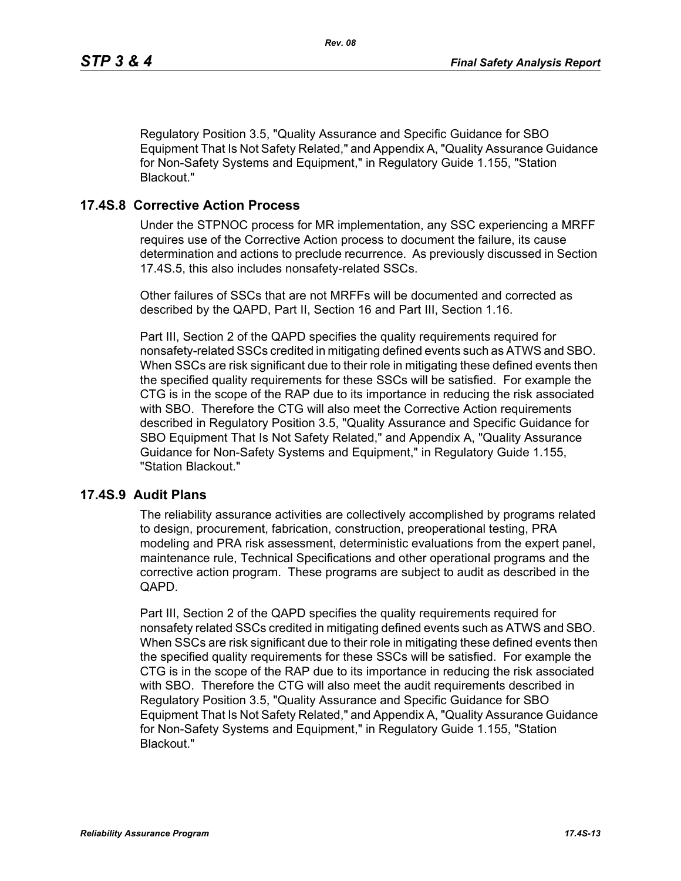Regulatory Position 3.5, "Quality Assurance and Specific Guidance for SBO Equipment That Is Not Safety Related," and Appendix A, "Quality Assurance Guidance for Non-Safety Systems and Equipment," in Regulatory Guide 1.155, "Station Blackout."

#### **17.4S.8 Corrective Action Process**

Under the STPNOC process for MR implementation, any SSC experiencing a MRFF requires use of the Corrective Action process to document the failure, its cause determination and actions to preclude recurrence. As previously discussed in Section 17.4S.5, this also includes nonsafety-related SSCs.

Other failures of SSCs that are not MRFFs will be documented and corrected as described by the QAPD, Part II, Section 16 and Part III, Section 1.16.

Part III, Section 2 of the QAPD specifies the quality requirements required for nonsafety-related SSCs credited in mitigating defined events such as ATWS and SBO. When SSCs are risk significant due to their role in mitigating these defined events then the specified quality requirements for these SSCs will be satisfied. For example the CTG is in the scope of the RAP due to its importance in reducing the risk associated with SBO. Therefore the CTG will also meet the Corrective Action requirements described in Regulatory Position 3.5, "Quality Assurance and Specific Guidance for SBO Equipment That Is Not Safety Related," and Appendix A, "Quality Assurance Guidance for Non-Safety Systems and Equipment," in Regulatory Guide 1.155, "Station Blackout."

#### **17.4S.9 Audit Plans**

The reliability assurance activities are collectively accomplished by programs related to design, procurement, fabrication, construction, preoperational testing, PRA modeling and PRA risk assessment, deterministic evaluations from the expert panel, maintenance rule, Technical Specifications and other operational programs and the corrective action program. These programs are subject to audit as described in the QAPD.

Part III, Section 2 of the QAPD specifies the quality requirements required for nonsafety related SSCs credited in mitigating defined events such as ATWS and SBO. When SSCs are risk significant due to their role in mitigating these defined events then the specified quality requirements for these SSCs will be satisfied. For example the CTG is in the scope of the RAP due to its importance in reducing the risk associated with SBO. Therefore the CTG will also meet the audit requirements described in Regulatory Position 3.5, "Quality Assurance and Specific Guidance for SBO Equipment That Is Not Safety Related," and Appendix A, "Quality Assurance Guidance for Non-Safety Systems and Equipment," in Regulatory Guide 1.155, "Station Blackout."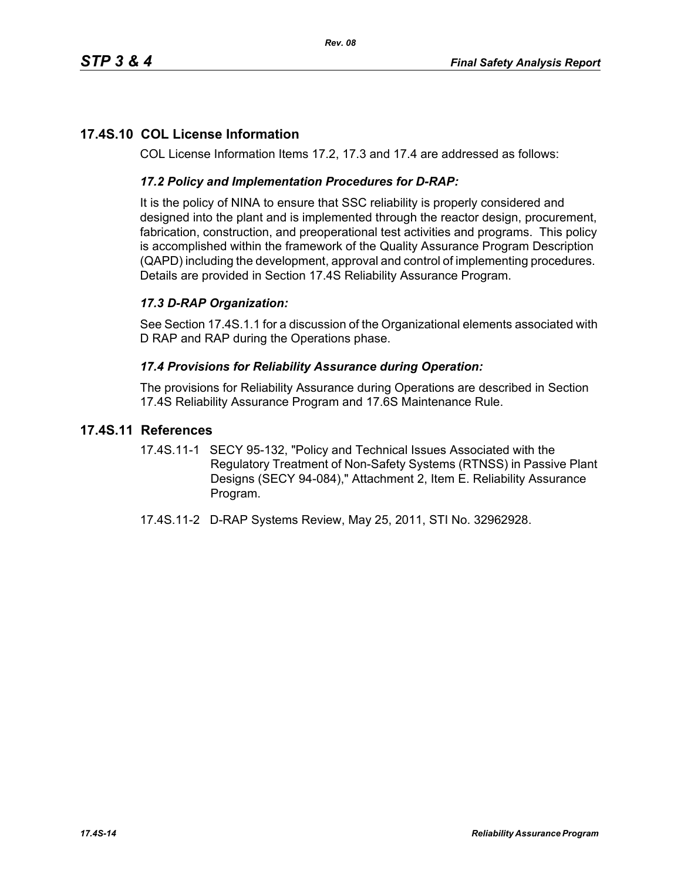# **17.4S.10 COL License Information**

COL License Information Items 17.2, 17.3 and 17.4 are addressed as follows:

### *17.2 Policy and Implementation Procedures for D-RAP:*

It is the policy of NINA to ensure that SSC reliability is properly considered and designed into the plant and is implemented through the reactor design, procurement, fabrication, construction, and preoperational test activities and programs. This policy is accomplished within the framework of the Quality Assurance Program Description (QAPD) including the development, approval and control of implementing procedures. Details are provided in Section 17.4S Reliability Assurance Program.

## *17.3 D-RAP Organization:*

See Section 17.4S.1.1 for a discussion of the Organizational elements associated with D RAP and RAP during the Operations phase.

#### *17.4 Provisions for Reliability Assurance during Operation:*

The provisions for Reliability Assurance during Operations are described in Section 17.4S Reliability Assurance Program and 17.6S Maintenance Rule.

### **17.4S.11 References**

- 17.4S.11-1 SECY 95-132, "Policy and Technical Issues Associated with the Regulatory Treatment of Non-Safety Systems (RTNSS) in Passive Plant Designs (SECY 94-084)," Attachment 2, Item E. Reliability Assurance Program.
- 17.4S.11-2 D-RAP Systems Review, May 25, 2011, STI No. 32962928.